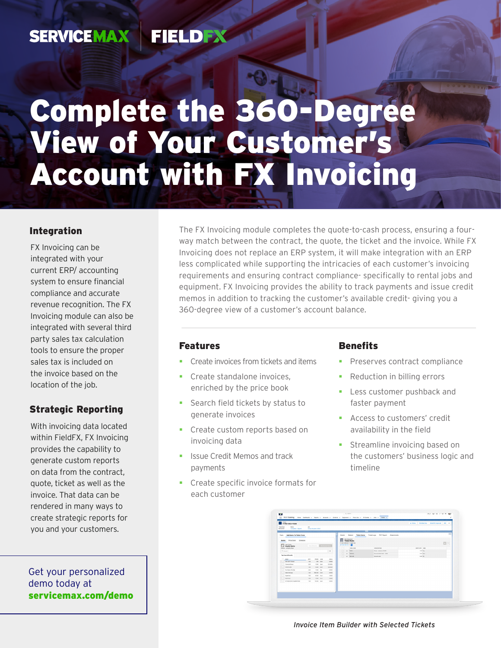#### **FIELDEX SERVICEMAX**

# Complete the 360-Degree View of Your Customer's Account with FX Invoicing

### Integration

FX Invoicing can be integrated with your current ERP/ accounting system to ensure financial compliance and accurate revenue recognition. The FX Invoicing module can also be integrated with several third party sales tax calculation tools to ensure the proper sales tax is included on the invoice based on the location of the job.

## Strategic Reporting

With invoicing data located within FieldFX, FX Invoicing provides the capability to generate custom reports on data from the contract, quote, ticket as well as the invoice. That data can be rendered in many ways to create strategic reports for you and your customers.

Get your personalized demo today at [servicemax.com/demo](http://servicemax.com/demo) The FX Invoicing module completes the quote-to-cash process, ensuring a fourway match between the contract, the quote, the ticket and the invoice. While FX Invoicing does not replace an ERP system, it will make integration with an ERP less complicated while supporting the intricacies of each customer's invoicing requirements and ensuring contract compliance- specifically to rental jobs and equipment. FX Invoicing provides the ability to track payments and issue credit memos in addition to tracking the customer's available credit- giving you a 360-degree view of a customer's account balance.

#### Features

- Create invoices from tickets and items
- **Create standalone invoices.** enriched by the price book
- Search field tickets by status to generate invoices
- **Create custom reports based on** invoicing data
- **In Itsue Credit Memos and track** payments
- **Create specific invoice formats for** each customer

## **Benefits**

- Preserves contract compliance
- Reduction in billing errors
- Less customer pushback and faster payment
- **Access to customers' credit** availability in the field
- **Streamline invoicing based on** the customers' business logic and timeline

| T-F60-SC3-FC89<br>Tolet Date<br>Status |       |                        |             |  |                                                  |  | A folios Divisible View Cubestitle Assessed Dill .              |  |  |                                 |  |             |
|----------------------------------------|-------|------------------------|-------------|--|--------------------------------------------------|--|-----------------------------------------------------------------|--|--|---------------------------------|--|-------------|
| 8/12/2021<br>Conside - Sinnel          | Job.  | Circa Houston 2022     |             |  |                                                  |  |                                                                 |  |  |                                 |  |             |
| Tools Add Items To Ticket From:        |       |                        |             |  |                                                  |  | Details Related Ticket beres Ticket Logs PDF Report Attachments |  |  |                                 |  | <b>Call</b> |
| Quote Price Book Schedule              |       |                        |             |  | TIT FILOMA DIA<br>2 cres selected - 3 total cres |  |                                                                 |  |  |                                 |  | $  \cdot  $ |
| <b>PTT</b> new Picker<br>Quote items   |       | Our Second ASSOCIATION |             |  | allow her to x.                                  |  |                                                                 |  |  |                                 |  |             |
| & have - sorted by Ever<br>G-Search    |       |                        | o-          |  | <b>IPEN COOK</b><br>$   -$                       |  | contemporary<br>Chris - Hohaule 10.000                          |  |  | <b>INPUT GEN USA</b><br>100 Ear |  |             |
|                                        |       |                        |             |  | $A$ <b>MALAST</b>                                |  | Presente Bull Valve - 5200                                      |  |  | 5.00 Earl                       |  |             |
| Top Search Roswitz                     |       |                        |             |  | $A$ GOVAN                                        |  | <b>Constitution</b>                                             |  |  | nea on                          |  |             |
| $-3446$                                | 411   | PRIDE USM              | 1888.6      |  |                                                  |  |                                                                 |  |  |                                 |  |             |
| 282 FAFTY Rental                       | M6    | 000 Date               | 5,0000      |  |                                                  |  |                                                                 |  |  |                                 |  |             |
| Chemical Olives                        | 2.80  | NOD Seh                | 121,0000    |  |                                                  |  |                                                                 |  |  |                                 |  |             |
| <b>HENATER</b>                         | us.   | \$5.00 Sah             | 124,0000    |  |                                                  |  |                                                                 |  |  |                                 |  |             |
| <b>Bu Sam He Me</b>                    | nan-  | 75.00 lbsr             | Address     |  |                                                  |  |                                                                 |  |  |                                 |  |             |
| <b>Sales Parkage</b>                   | san i | Milled San             | <b>KANA</b> |  |                                                  |  |                                                                 |  |  |                                 |  |             |
| Supervisor                             | 1.60  | ance use               | 1,600A      |  |                                                  |  |                                                                 |  |  |                                 |  |             |
| <b>Sampleton</b>                       | 1.86  | With line              | 1 nove      |  |                                                  |  |                                                                 |  |  |                                 |  |             |
| WINDS BIN CHARATONS                    | 1.00  | 100.00 Each            | 10000       |  |                                                  |  |                                                                 |  |  |                                 |  |             |
|                                        |       |                        |             |  |                                                  |  |                                                                 |  |  |                                 |  |             |
|                                        |       |                        |             |  |                                                  |  |                                                                 |  |  |                                 |  |             |
|                                        |       |                        |             |  |                                                  |  |                                                                 |  |  |                                 |  |             |

*Invoice Item Builder with Selected Tickets*